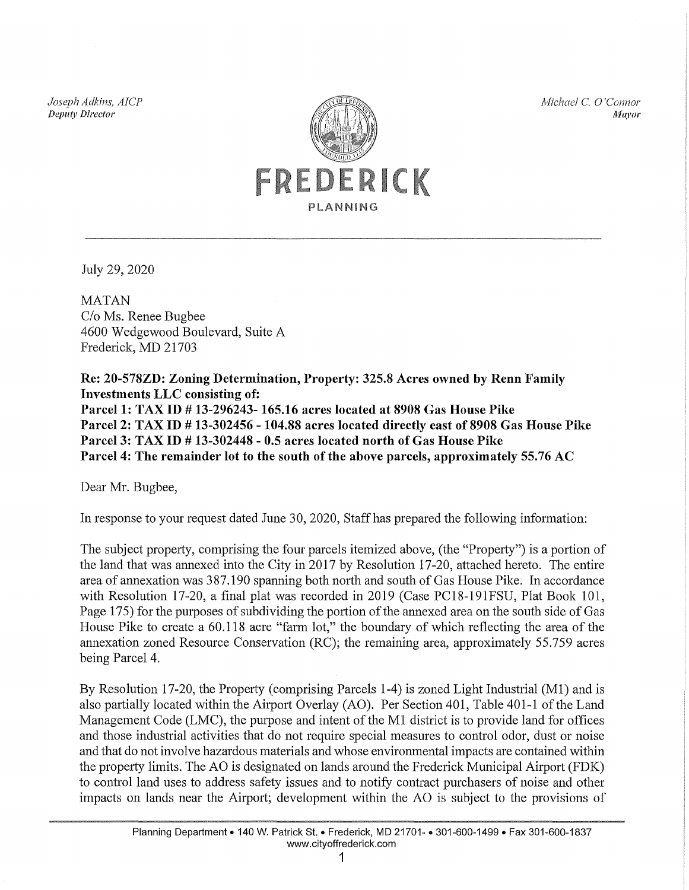*Joseph Adkins, AICP Depu(l' Director* 



*Michael* C. 0 *'Connor Jl1ayor* 

July 29, 2020

**MATAN** C/o Ms. Renee Bugbee 4600 Wedgewood Boulevard, Suite A Frederick, MD 21703

Re: 20-578ZD: Zoning Determination, Property: 325.8 Acres owned by Renn Family Investments LLC consisting of: Parcell: TAX ID # 13-296243-165.16 acres located at 8908 Gas House Pike Parcel2: TAX ID # 13-302456- 104.88 acres located directly east of 8908 Gas House Pike Parcel3: TAX ID # 13-302448- 0.5 acres located north of Gas House Pike Parcel4: The remainder lot to the south of the above parcels, approximately 55.76 AC

Dear Mr. Bugbee,

In response to your request dated June 30, 2020, Staff has prepared the following information:

The subject property, comprising the four parcels itemized above, (the "Property") is a portion of the land that was annexed into the City in 2017 by Resolution 17-20, attached hereto. The entire area of annexation was 3 87.190 spanning both north and south of Gas House Pike. In accordance with Resolution 17-20, a final plat was recorded in 2019 (Case PC18-191FSU, Plat Book 101, Page 175) for the purposes of subdividing the portion of the annexed area on the south side of Gas House Pike to create a 60.118 acre "farm lot," the boundary of which reflecting the area of the annexation zoned Resource Conservation (RC); the remaining area, approximately 55.759 acres being Parcel 4.

By Resolution 17-20, the Property (comprising Parcels 1-4) is zoned Light Industrial (M1) and is also partially located within the Airport Overlay (AO). Per Section 401, Table 401-1 of the Land Management Code (LMC), the purpose and intent of the M1 district is to provide land for offices and those industrial activities that do not require special measures to control odor, dust or noise and that do not involve hazardous materials and whose environmental impacts are contained within the property limits. The AO is designated on lands around the Frederick Municipal Airport (FDK) to control land uses to address safety issues and to notify contract purchasers of noise and other impacts on lands near the Airport; development within the AO is subject to the provisions of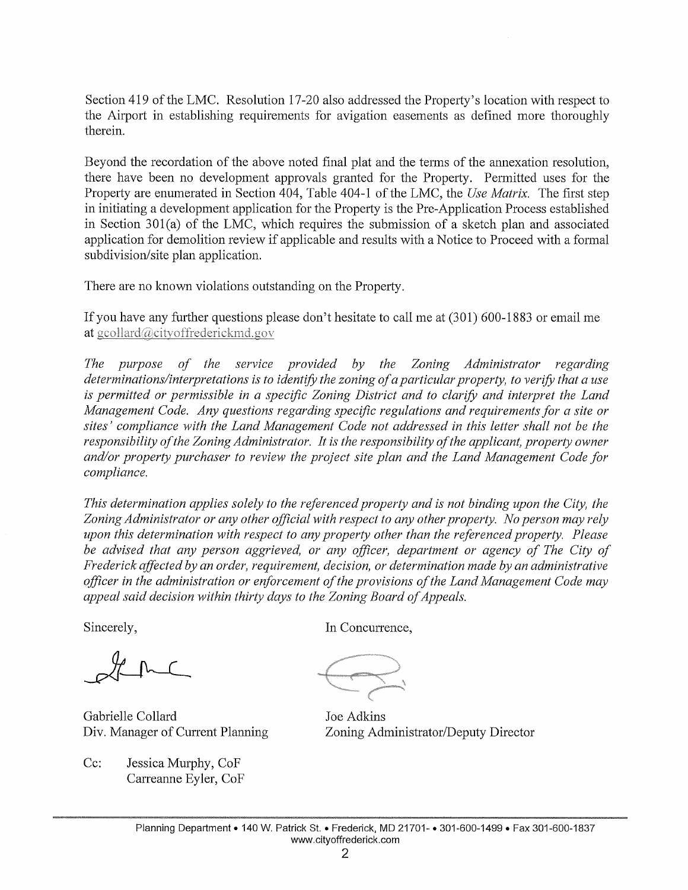Section 419 of the LMC. Resolution 17-20 also addressed the Property's location with respect to the Airport in establishing requirements for avigation easements as defined more thoroughly therein.

Beyond the recordation of the above noted final plat and the tetms of the annexation resolution, there have been no development approvals granted for the Property. Permitted uses for the Property are enumerated in Section 404, Table 404-1 of the LMC, the *Use Matrix*. The first step in initiating a development application for the Property is the Pre-Application Process established in Section 301(a) of the LMC, which requires the submission of a sketch plan and associated application for demolition review if applicable and results with a Notice to Proceed with a formal subdivision/site plan application.

There are no known violations outstanding on the Property.

If you have any further questions please don't hesitate to call me at  $(301)$  600-1883 or email me at  $gcdlard@city of freedom d.gov$ 

*The purpose of the service provided by the Zoning Administrator regarding determinations/interpretations is to identify the zoning of a particular property, to verify that a use is permitted or permissible in a specific Zoning District and to clarify and interpret the Land Management Code. Any questions regarding specific regulations and requirements for a site or sites' compliance with the Land Management Code not addressed in this letter shall not be the responsibility of the Zoning Administrator. It is the responsibility of the applicant, property owner and/or property purchaser to review the project site plan and the Land Management Code for compliance.* 

*This determination applies solely to the referenced property and is not binding upon the City, the Zoning Administrator or any other official with respect to any other property. No person may rely upon this determination with respect to any property other than the referenced property. Please*  be advised that any person aggrieved, or any officer, department or agency of The City of *Frederick affected by an order, requirement, decision, or determination made by an administrative officer in the administration or enforcement of the provisions of the Land Management Code may appeal said decision within thirty days to the Zoning Board of Appeals.* 

Sincerely,

Lene

Gabrielle Collard Div. Manager of Current Planning

Cc: Jessica Murphy, CoP Carreanne Eyler, CoF In Concurrence,

Joe Adkins Zoning Administrator/Deputy Director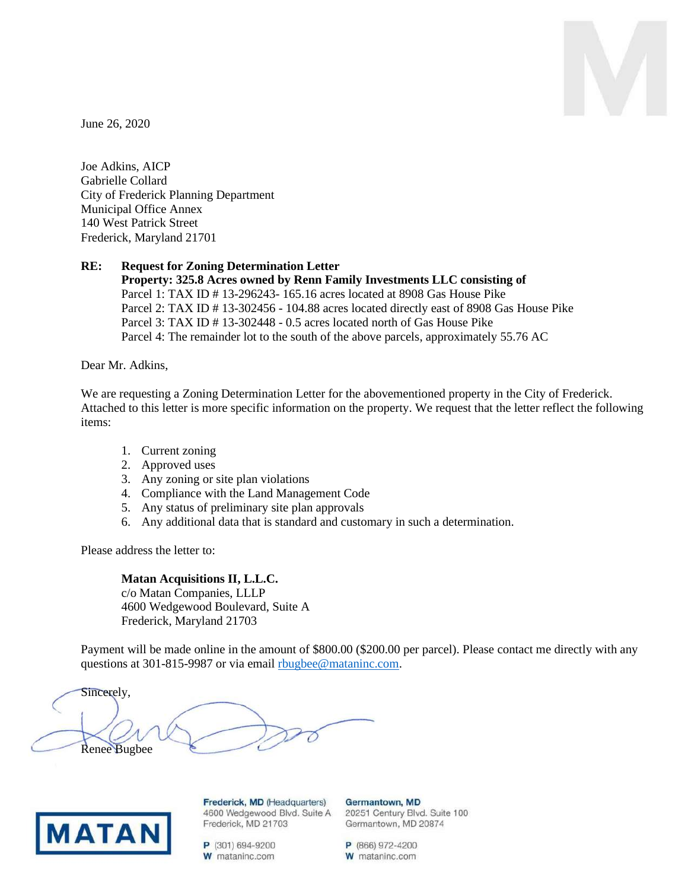

June 26, 2020

Joe Adkins, AICP Gabrielle Collard City of Frederick Planning Department Municipal Office Annex 140 West Patrick Street Frederick, Maryland 21701

## **RE: Request for Zoning Determination Letter**

**Property: 325.8 Acres owned by Renn Family Investments LLC consisting of** Parcel 1: TAX ID # 13-296243- 165.16 acres located at 8908 Gas House Pike Parcel 2: TAX ID # 13-302456 - 104.88 acres located directly east of 8908 Gas House Pike Parcel 3: TAX ID # 13-302448 - 0.5 acres located north of Gas House Pike Parcel 4: The remainder lot to the south of the above parcels, approximately 55.76 AC

Dear Mr. Adkins,

We are requesting a Zoning Determination Letter for the abovementioned property in the City of Frederick. Attached to this letter is more specific information on the property. We request that the letter reflect the following items:

- 1. Current zoning
- 2. Approved uses
- 3. Any zoning or site plan violations
- 4. Compliance with the Land Management Code
- 5. Any status of preliminary site plan approvals
- 6. Any additional data that is standard and customary in such a determination.

Please address the letter to:

## **Matan Acquisitions II, L.L.C.**

c/o Matan Companies, LLLP 4600 Wedgewood Boulevard, Suite A Frederick, Maryland 21703

Payment will be made online in the amount of \$800.00 (\$200.00 per parcel). Please contact me directly with any questions at 301-815-9987 or via email [rbugbee@mataninc.com.](mailto:rbugbee@mataninc.com)

Sincerely, Renee Bugbee



Frederick, MD (Headquarters) 4600 Wedgewood Blvd. Suite A Frederick, MD 21703

P (301) 694-9200 W mataninc.com Germantown, MD 20251 Century Blvd. Suite 100 Germantown, MD 20874

P (866) 972-4200 W mataninc.com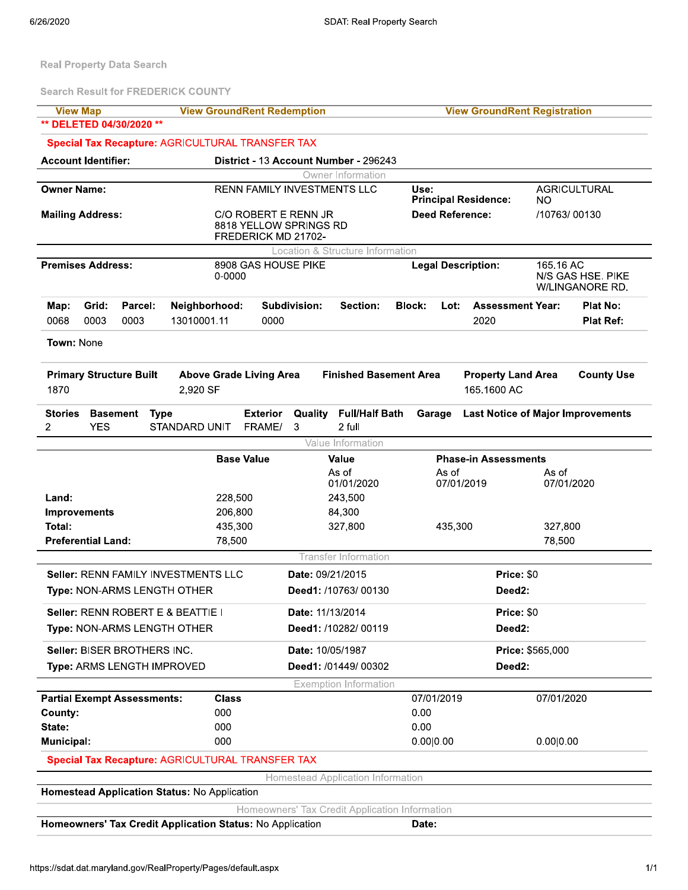**Real Property Data Search** 

**Search Result for FREDERICK COUNTY** 

| <b>View Map</b>                                                                  | <b>View GroundRent Redemption</b>                                     |                                                 | <b>View GroundRent Registration</b>                      |                                                   |
|----------------------------------------------------------------------------------|-----------------------------------------------------------------------|-------------------------------------------------|----------------------------------------------------------|---------------------------------------------------|
| ** DELETED 04/30/2020 **                                                         |                                                                       |                                                 |                                                          |                                                   |
|                                                                                  | <b>Special Tax Recapture: AGRICULTURAL TRANSFER TAX</b>               |                                                 |                                                          |                                                   |
| <b>Account Identifier:</b>                                                       |                                                                       | District - 13 Account Number - 296243           |                                                          |                                                   |
|                                                                                  |                                                                       | Owner Information                               |                                                          |                                                   |
| <b>Owner Name:</b>                                                               |                                                                       | RENN FAMILY INVESTMENTS LLC                     | Use:<br><b>Principal Residence:</b>                      | <b>AGRICULTURAL</b><br><b>NO</b>                  |
| <b>Mailing Address:</b>                                                          | C/O ROBERT E RENN JR<br>8818 YELLOW SPRINGS RD<br>FREDERICK MD 21702- |                                                 | <b>Deed Reference:</b>                                   | /10763/00130                                      |
|                                                                                  |                                                                       | Location & Structure Information                |                                                          |                                                   |
| <b>Premises Address:</b>                                                         | 8908 GAS HOUSE PIKE<br>0-0000                                         |                                                 | <b>Legal Description:</b>                                | 165.16 AC<br>N/S GAS HSE. PIKE<br>W/LINGANORE RD. |
| Grid:<br>Parcel:<br>Map:<br>0068<br>0003<br>0003                                 | Neighborhood:<br>13010001.11<br>0000                                  | Subdivision:<br>Section:                        | <b>Block:</b><br>Lot:<br><b>Assessment Year:</b><br>2020 | <b>Plat No:</b><br><b>Plat Ref:</b>               |
| Town: None                                                                       |                                                                       |                                                 |                                                          |                                                   |
| <b>Primary Structure Built</b><br>1870                                           | <b>Above Grade Living Area</b><br>2,920 SF                            | <b>Finished Basement Area</b>                   | <b>Property Land Area</b><br>165.1600 AC                 | <b>County Use</b>                                 |
| <b>Stories</b><br><b>Basement</b><br><b>Type</b><br>$\overline{2}$<br><b>YES</b> | <b>Exterior</b><br><b>STANDARD UNIT</b><br>FRAME/                     | <b>Full/Half Bath</b><br>Quality<br>2 full<br>3 | Garage                                                   | <b>Last Notice of Major Improvements</b>          |
|                                                                                  |                                                                       | Value Information                               |                                                          |                                                   |
|                                                                                  | <b>Base Value</b>                                                     | Value                                           | <b>Phase-in Assessments</b>                              |                                                   |
|                                                                                  |                                                                       | As of<br>01/01/2020                             | As of<br>07/01/2019                                      | As of<br>07/01/2020                               |
| Land:                                                                            | 228,500                                                               | 243,500                                         |                                                          |                                                   |
| <b>Improvements</b>                                                              | 206,800                                                               | 84,300                                          |                                                          |                                                   |
| Total:                                                                           | 435,300                                                               | 327,800                                         | 435,300                                                  | 327,800                                           |
| <b>Preferential Land:</b>                                                        | 78,500                                                                |                                                 |                                                          | 78,500                                            |
|                                                                                  |                                                                       | <b>Transfer Information</b>                     |                                                          |                                                   |
| Seller: RENN FAMILY INVESTMENTS LLC                                              |                                                                       | Date: 09/21/2015                                | Price: \$0                                               |                                                   |
| Type: NON-ARMS LENGTH OTHER                                                      |                                                                       | Deed1: /10763/00130                             | Deed <sub>2:</sub>                                       |                                                   |
|                                                                                  |                                                                       |                                                 |                                                          |                                                   |
| Seller: RENN ROBERT E & BEATTIE I                                                |                                                                       | Date: 11/13/2014                                | Price: \$0                                               |                                                   |
| Type: NON-ARMS LENGTH OTHER                                                      |                                                                       | Deed1: /10282/ 00119                            | Deed2:                                                   |                                                   |
| Seller: BISER BROTHERS INC.                                                      |                                                                       | Date: 10/05/1987                                |                                                          | <b>Price: \$565,000</b>                           |
| Type: ARMS LENGTH IMPROVED                                                       |                                                                       | Deed1: /01449/ 00302                            | Deed <sub>2</sub> :                                      |                                                   |
|                                                                                  |                                                                       | <b>Exemption Information</b>                    |                                                          |                                                   |
| <b>Partial Exempt Assessments:</b>                                               | <b>Class</b>                                                          |                                                 | 07/01/2019                                               | 07/01/2020                                        |
| County:                                                                          | 000                                                                   |                                                 | 0.00                                                     |                                                   |
| State:                                                                           | 000                                                                   |                                                 | 0.00                                                     |                                                   |
| <b>Municipal:</b>                                                                | 000                                                                   |                                                 | 0.00 0.00                                                | 0.00 0.00                                         |
|                                                                                  | <b>Special Tax Recapture: AGRICULTURAL TRANSFER TAX</b>               |                                                 |                                                          |                                                   |
| Homestead Application Status: No Application                                     |                                                                       | Homestead Application Information               |                                                          |                                                   |

Homeowners' Tax Credit Application Information

Date:

Homeowners' Tax Credit Application Status: No Application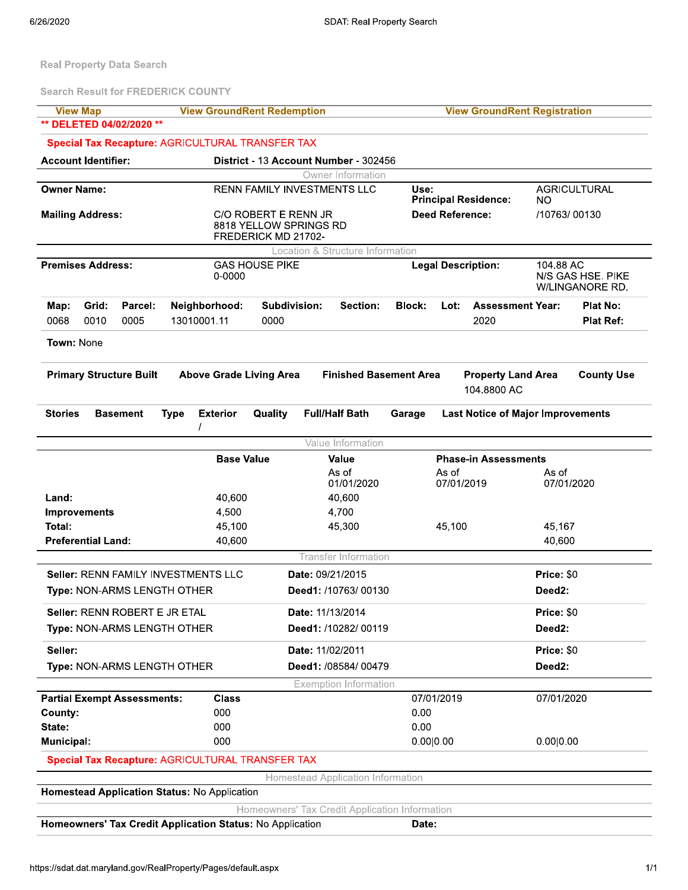Real Property Data Search

**Search Result for FREDERICK COUNTY** 

| <b>View Map</b>                                           |                                | <b>View GroundRent Redemption</b>              |                                          |               | <b>View GroundRent Registration</b>      |                                      |
|-----------------------------------------------------------|--------------------------------|------------------------------------------------|------------------------------------------|---------------|------------------------------------------|--------------------------------------|
| DELETED 04/02/2020 **                                     |                                |                                                |                                          |               |                                          |                                      |
| Special Tax Recapture: AGRICULTURAL TRANSFER TAX          |                                |                                                |                                          |               |                                          |                                      |
| <b>Account Identifier:</b>                                |                                | District - 13 Account Number - 302456          |                                          |               |                                          |                                      |
|                                                           |                                |                                                | Owner Information                        |               |                                          |                                      |
| <b>Owner Name:</b>                                        |                                | RENN FAMILY INVESTMENTS LLC                    |                                          | Use:          | <b>Principal Residence:</b>              | <b>AGRICULTURAL</b><br><b>NO</b>     |
| <b>Mailing Address:</b>                                   |                                | C/O ROBERT E RENN JR                           |                                          |               | <b>Deed Reference:</b>                   | /10763/00130                         |
|                                                           |                                | 8818 YELLOW SPRINGS RD<br>FREDERICK MD 21702-  |                                          |               |                                          |                                      |
|                                                           |                                |                                                | Location & Structure Information         |               |                                          |                                      |
| <b>Premises Address:</b>                                  |                                | <b>GAS HOUSE PIKE</b>                          |                                          |               | <b>Legal Description:</b>                | 104.88 AC                            |
|                                                           | 0-0000                         |                                                |                                          |               |                                          | N/S GAS HSE. PIKE<br>W/LINGANORE RD. |
| Grid:<br>Parcel:<br>Map:                                  | Neighborhood:                  | Subdivision:                                   | Section:                                 | <b>Block:</b> | Lot:<br><b>Assessment Year:</b>          | <b>Plat No:</b>                      |
| 0068<br>0010<br>0005                                      | 13010001.11                    | 0000                                           |                                          |               | 2020                                     | <b>Plat Ref:</b>                     |
| Town: None                                                |                                |                                                |                                          |               |                                          |                                      |
| <b>Primary Structure Built</b>                            | <b>Above Grade Living Area</b> |                                                | <b>Finished Basement Area</b>            |               | <b>Property Land Area</b><br>104.8800 AC | <b>County Use</b>                    |
| <b>Stories</b><br><b>Basement</b>                         | <b>Exterior</b><br><b>Type</b> | Quality                                        | <b>Full/Half Bath</b>                    | Garage        | <b>Last Notice of Major Improvements</b> |                                      |
|                                                           |                                |                                                | Value Information                        |               |                                          |                                      |
|                                                           | <b>Base Value</b>              |                                                | Value                                    |               | <b>Phase-in Assessments</b>              |                                      |
|                                                           |                                |                                                | As of<br>01/01/2020                      |               | As of<br>07/01/2019                      | As of<br>07/01/2020                  |
| Land:                                                     | 40,600                         |                                                | 40,600                                   |               |                                          |                                      |
| <b>Improvements</b>                                       | 4,500                          |                                                | 4,700                                    |               |                                          |                                      |
| Total:                                                    | 45,100                         |                                                | 45,300                                   |               | 45,100                                   | 45,167                               |
| <b>Preferential Land:</b>                                 | 40,600                         |                                                |                                          |               |                                          | 40,600                               |
|                                                           |                                |                                                | <b>Transfer Information</b>              |               |                                          |                                      |
| Seller: RENN FAMILY INVESTMENTS LLC                       |                                |                                                | Date: 09/21/2015                         |               |                                          | Price: \$0                           |
| Type: NON-ARMS LENGTH OTHER                               |                                |                                                | Deed1: /10763/00130                      |               |                                          | Deed <sub>2:</sub>                   |
| Seller: RENN ROBERT E JR ETAL                             |                                |                                                | Date: 11/13/2014                         |               |                                          | Price: \$0                           |
| Type: NON-ARMS LENGTH OTHER                               |                                |                                                | Deed1: /10282/ 00119                     |               |                                          | Deed <sub>2</sub> :                  |
| Seller:                                                   |                                |                                                | Date: 11/02/2011                         |               |                                          | Price: \$0                           |
| Type: NON-ARMS LENGTH OTHER                               |                                |                                                | Deed1: /08584/ 00479                     |               |                                          | Deed <sub>2</sub> :                  |
|                                                           |                                |                                                | <b>Exemption Information</b>             |               |                                          |                                      |
| <b>Partial Exempt Assessments:</b>                        | <b>Class</b>                   |                                                |                                          |               | 07/01/2019                               | 07/01/2020                           |
| County:<br>State:                                         | 000<br>000                     |                                                |                                          | 0.00<br>0.00  |                                          |                                      |
| Municipal:                                                | 000                            |                                                |                                          | 0.00 0.00     |                                          | 0.00 0.00                            |
| <b>Special Tax Recapture: AGRICULTURAL TRANSFER TAX</b>   |                                |                                                |                                          |               |                                          |                                      |
|                                                           |                                |                                                | <b>Homestead Application Information</b> |               |                                          |                                      |
| Homestead Application Status: No Application              |                                |                                                |                                          |               |                                          |                                      |
|                                                           |                                | Homeowners' Tax Credit Application Information |                                          |               |                                          |                                      |
| Homeowners' Tax Credit Application Status: No Application |                                |                                                |                                          | Date:         |                                          |                                      |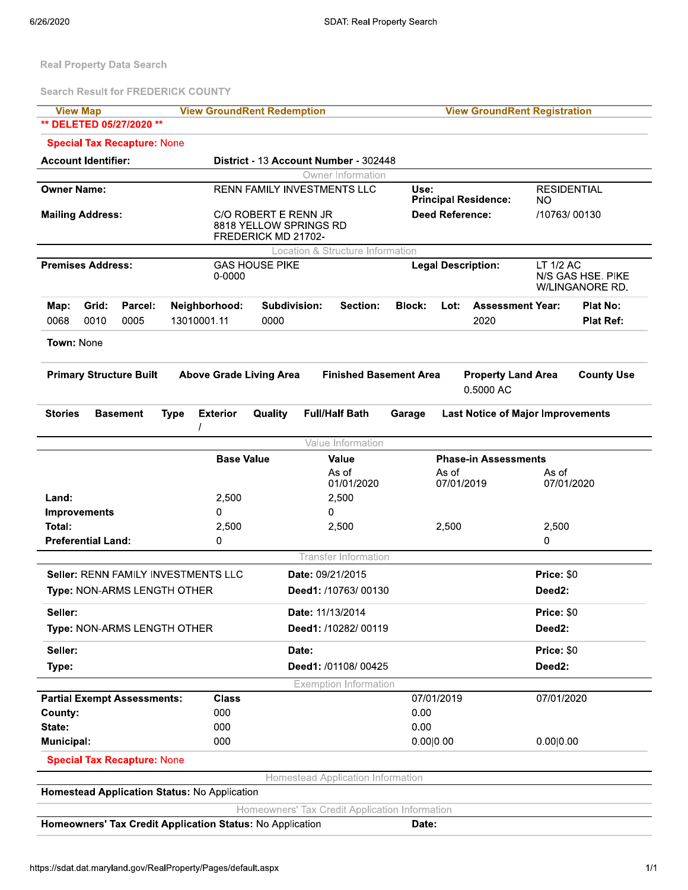Real Property Data Search

**Search Result for FREDERICK COUNTY** 

| <b>View Map</b>                                  | <b>View GroundRent Redemption</b>           |                                                |                                                          | <b>View GroundRent Registration</b>               |  |  |
|--------------------------------------------------|---------------------------------------------|------------------------------------------------|----------------------------------------------------------|---------------------------------------------------|--|--|
| ** DELETED 05/27/2020 **                         |                                             |                                                |                                                          |                                                   |  |  |
| <b>Special Tax Recapture: None</b>               |                                             |                                                |                                                          |                                                   |  |  |
| <b>Account Identifier:</b>                       |                                             | District - 13 Account Number - 302448          |                                                          |                                                   |  |  |
|                                                  |                                             | Owner Information                              |                                                          |                                                   |  |  |
| <b>Owner Name:</b>                               | <b>RENN FAMILY INVESTMENTS LLC</b>          |                                                | Use:<br><b>Principal Residence:</b>                      | <b>RESIDENTIAL</b><br>NO.                         |  |  |
| <b>Mailing Address:</b>                          | C/O ROBERT E RENN JR<br>FREDERICK MD 21702- | 8818 YELLOW SPRINGS RD                         | <b>Deed Reference:</b>                                   | /10763/00130                                      |  |  |
|                                                  |                                             | Location & Structure Information               |                                                          |                                                   |  |  |
| <b>Premises Address:</b>                         | <b>GAS HOUSE PIKE</b><br>0-0000             |                                                | <b>Legal Description:</b>                                | LT 1/2 AC<br>N/S GAS HSE. PIKE<br>W/LINGANORE RD. |  |  |
| Grid:<br>Parcel:<br>Map:<br>0010<br>0068<br>0005 | Neighborhood:<br>13010001.11<br>0000        | Subdivision:<br>Section:                       | <b>Block:</b><br><b>Assessment Year:</b><br>Lot:<br>2020 | Plat No:<br><b>Plat Ref:</b>                      |  |  |
| Town: None                                       |                                             |                                                |                                                          |                                                   |  |  |
|                                                  |                                             |                                                |                                                          |                                                   |  |  |
| <b>Primary Structure Built</b>                   | <b>Above Grade Living Area</b>              | <b>Finished Basement Area</b>                  | <b>Property Land Area</b><br>0.5000 AC                   | <b>County Use</b>                                 |  |  |
| <b>Stories</b><br><b>Basement</b>                | <b>Exterior</b><br>Quality<br><b>Type</b>   | <b>Full/Half Bath</b>                          | Garage                                                   | <b>Last Notice of Major Improvements</b>          |  |  |
|                                                  |                                             | Value Information                              |                                                          |                                                   |  |  |
|                                                  | <b>Base Value</b>                           | Value                                          | <b>Phase-in Assessments</b>                              |                                                   |  |  |
|                                                  |                                             | As of<br>01/01/2020                            | As of<br>07/01/2019                                      | As of<br>07/01/2020                               |  |  |
| Land:                                            | 2,500                                       | 2,500                                          |                                                          |                                                   |  |  |
| <b>Improvements</b>                              | 0                                           | 0                                              |                                                          |                                                   |  |  |
| Total:                                           | 2,500                                       | 2,500                                          | 2,500                                                    | 2,500                                             |  |  |
| <b>Preferential Land:</b>                        | 0                                           |                                                |                                                          | 0                                                 |  |  |
|                                                  |                                             | <b>Transfer Information</b>                    |                                                          |                                                   |  |  |
| Seller: RENN FAMILY INVESTMENTS LLC              |                                             | Date: 09/21/2015                               |                                                          | Price: \$0                                        |  |  |
| Type: NON-ARMS LENGTH OTHER                      |                                             | Deed1: /10763/00130                            |                                                          | Deed <sub>2</sub> :                               |  |  |
| Seller:                                          |                                             | Date: 11/13/2014                               |                                                          | Price: \$0                                        |  |  |
| Type: NON-ARMS LENGTH OTHER                      |                                             | Deed1: /10282/ 00119                           |                                                          | Deed2:                                            |  |  |
| Seller:                                          |                                             | Date:                                          |                                                          | Price: \$0                                        |  |  |
| Type:                                            |                                             | Deed1: /01108/00425                            |                                                          | Deed2:                                            |  |  |
|                                                  |                                             | <b>Exemption Information</b>                   |                                                          |                                                   |  |  |
| <b>Partial Exempt Assessments:</b>               | <b>Class</b>                                |                                                | 07/01/2019                                               | 07/01/2020                                        |  |  |
| County:                                          | 000                                         |                                                | 0.00                                                     |                                                   |  |  |
| State:                                           | 000                                         |                                                | 0.00                                                     |                                                   |  |  |
| Municipal:                                       | 000                                         |                                                | 0.00 0.00                                                | 0.00 0.00                                         |  |  |
| <b>Special Tax Recapture: None</b>               |                                             |                                                |                                                          |                                                   |  |  |
|                                                  |                                             | Homestead Application Information              |                                                          |                                                   |  |  |
| Homestead Application Status: No Application     |                                             |                                                |                                                          |                                                   |  |  |
|                                                  |                                             | Homeowners' Tax Credit Application Information |                                                          |                                                   |  |  |

Date:

Homeowners' Tax Credit Application Status: No Application